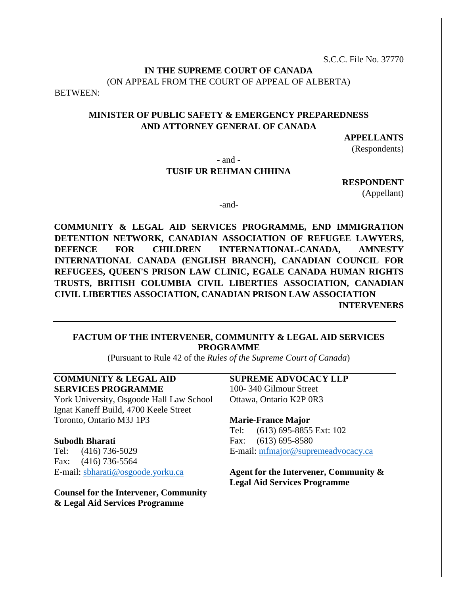S.C.C. File No. 37770

## **IN THE SUPREME COURT OF CANADA** (ON APPEAL FROM THE COURT OF APPEAL OF ALBERTA)

BETWEEN:

## **MINISTER OF PUBLIC SAFETY & EMERGENCY PREPAREDNESS AND ATTORNEY GENERAL OF CANADA**

### **APPELLANTS**

(Respondents)

- and -

## **TUSIF UR REHMAN CHHINA**

**RESPONDENT** 

(Appellant)

-and-

**COMMUNITY & LEGAL AID SERVICES PROGRAMME, END IMMIGRATION DETENTION NETWORK, CANADIAN ASSOCIATION OF REFUGEE LAWYERS, DEFENCE FOR CHILDREN INTERNATIONAL-CANADA, AMNESTY INTERNATIONAL CANADA (ENGLISH BRANCH), CANADIAN COUNCIL FOR REFUGEES, QUEEN'S PRISON LAW CLINIC, EGALE CANADA HUMAN RIGHTS TRUSTS, BRITISH COLUMBIA CIVIL LIBERTIES ASSOCIATION, CANADIAN CIVIL LIBERTIES ASSOCIATION, CANADIAN PRISON LAW ASSOCIATION INTERVENERS**

## **FACTUM OF THE INTERVENER, COMMUNITY & LEGAL AID SERVICES PROGRAMME**

(Pursuant to Rule 42 of the *Rules of the Supreme Court of Canada*)

## **COMMUNITY & LEGAL AID SERVICES PROGRAMME**

York University, Osgoode Hall Law School Ignat Kaneff Build, 4700 Keele Street Toronto, Ontario M3J 1P3

#### **Subodh Bharati**

Tel: (416) 736-5029 Fax: (416) 736-5564 E-mail: [sbharati@osgoode.yorku.ca](mailto:sbharati@osgoode.yorku.ca)

**Counsel for the Intervener, Community & Legal Aid Services Programme**

### **SUPREME ADVOCACY LLP**

100- 340 Gilmour Street Ottawa, Ontario K2P 0R3

#### **Marie-France Major**

Tel: (613) 695-8855 Ext: 102 Fax: (613) 695-8580 E-mail: [mfmajor@supremeadvocacy.ca](mailto:mfmajor@supremeadvocacy.ca)

**Agent for the Intervener, Community & Legal Aid Services Programme**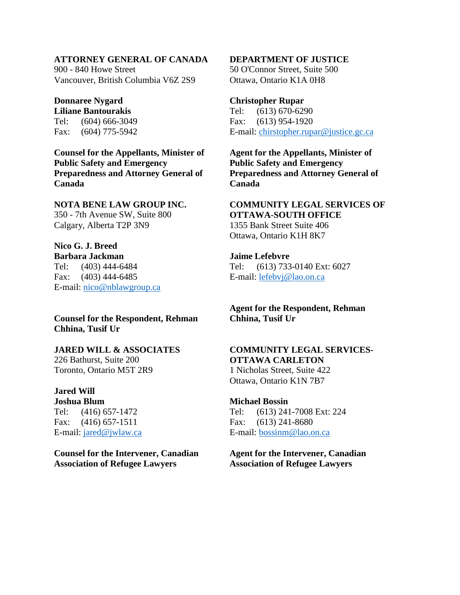### **ATTORNEY GENERAL OF CANADA**

900 - 840 Howe Street Vancouver, British Columbia V6Z 2S9

# **Donnaree Nygard**

**Liliane Bantourakis** Tel: (604) 666-3049 Fax: (604) 775-5942

**Counsel for the Appellants, Minister of Public Safety and Emergency Preparedness and Attorney General of Canada**

#### **NOTA BENE LAW GROUP INC.**

350 - 7th Avenue SW, Suite 800 Calgary, Alberta T2P 3N9

## **Nico G. J. Breed**

**Barbara Jackman** Tel: (403) 444-6484 Fax: (403) 444-6485 E-mail: [nico@nblawgroup.ca](mailto:nico@nblawgroup.ca)

### **Counsel for the Respondent, Rehman Chhina, Tusif Ur**

### **JARED WILL & ASSOCIATES**

226 Bathurst, Suite 200 Toronto, Ontario M5T 2R9

## **Jared Will**

**Joshua Blum** Tel: (416) 657-1472 Fax: (416) 657-1511 E-mail: [jared@jwlaw.ca](mailto:jared@jwlaw.ca)

**Counsel for the Intervener, Canadian Association of Refugee Lawyers**

### **DEPARTMENT OF JUSTICE**

50 O'Connor Street, Suite 500 Ottawa, Ontario K1A 0H8

#### **Christopher Rupar**

Tel: (613) 670-6290 Fax: (613) 954-1920 E-mail: [chirstopher.rupar@justice.gc.ca](mailto:chirstopher.rupar@justice.gc.ca)

**Agent for the Appellants, Minister of Public Safety and Emergency Preparedness and Attorney General of Canada**

### **COMMUNITY LEGAL SERVICES OF OTTAWA-SOUTH OFFICE** 1355 Bank Street Suite 406 Ottawa, Ontario K1H 8K7

**Jaime Lefebvre**

Tel: (613) 733-0140 Ext: 6027 E-mail: [lefebvj@lao.on.ca](mailto:lefebvj@lao.on.ca)

## **Agent for the Respondent, Rehman Chhina, Tusif Ur**

# **COMMUNITY LEGAL SERVICES-OTTAWA CARLETON**

1 Nicholas Street, Suite 422 Ottawa, Ontario K1N 7B7

#### **Michael Bossin**

Tel: (613) 241-7008 Ext: 224 Fax: (613) 241-8680 E-mail: [bossinm@lao.on.ca](mailto:bossinm@lao.on.ca)

### **Agent for the Intervener, Canadian Association of Refugee Lawyers**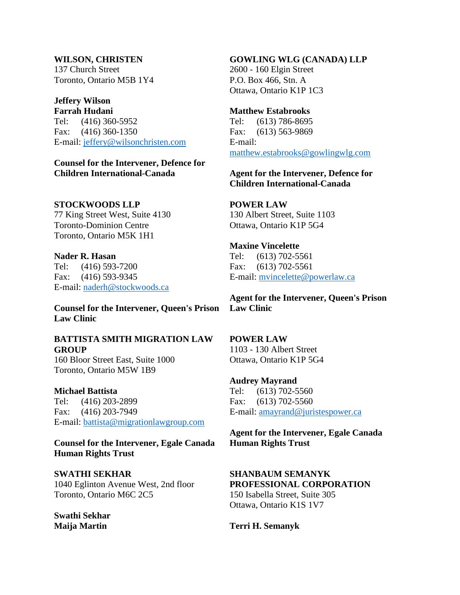# **WILSON, CHRISTEN**

137 Church Street Toronto, Ontario M5B 1Y4

# **Jeffery Wilson**

**Farrah Hudani** Tel: (416) 360-5952 Fax: (416) 360-1350 E-mail: [jeffery@wilsonchristen.com](mailto:jeffery@wilsonchristen.com)

**Counsel for the Intervener, Defence for Children International-Canada**

## **STOCKWOODS LLP**

77 King Street West, Suite 4130 Toronto-Dominion Centre Toronto, Ontario M5K 1H1

## **Nader R. Hasan**

Tel: (416) 593-7200 Fax: (416) 593-9345 E-mail: [naderh@stockwoods.ca](mailto:naderh@stockwoods.ca)

**Counsel for the Intervener, Queen's Prison Law Clinic**

## **BATTISTA SMITH MIGRATION LAW GROUP**

160 Bloor Street East, Suite 1000 Toronto, Ontario M5W 1B9

## **Michael Battista**

Tel: (416) 203-2899 Fax: (416) 203-7949 E-mail: [battista@migrationlawgroup.com](mailto:battista@migrationlawgroup.com)

**Counsel for the Intervener, Egale Canada Human Rights Trust** 

#### **SWATHI SEKHAR**

1040 Eglinton Avenue West, 2nd floor Toronto, Ontario M6C 2C5

**Swathi Sekhar Maija Martin**

### **GOWLING WLG (CANADA) LLP**

2600 - 160 Elgin Street P.O. Box 466, Stn. A Ottawa, Ontario K1P 1C3

### **Matthew Estabrooks**

Tel: (613) 786-8695 Fax: (613) 563-9869 E-mail: [matthew.estabrooks@gowlingwlg.com](mailto:matthew.estabrooks@gowlingwlg.com)

## **Agent for the Intervener, Defence for Children International-Canada**

## **POWER LAW**

130 Albert Street, Suite 1103 Ottawa, Ontario K1P 5G4

### **Maxine Vincelette**

Tel: (613) 702-5561 Fax: (613) 702-5561 E-mail: [mvincelette@powerlaw.ca](mailto:mvincelette@powerlaw.ca)

**Agent for the Intervener, Queen's Prison Law Clinic**

## **POWER LAW**

1103 - 130 Albert Street Ottawa, Ontario K1P 5G4

#### **Audrey Mayrand**

Tel: (613) 702-5560 Fax: (613) 702-5560 E-mail: [amayrand@juristespower.ca](mailto:amayrand@juristespower.ca)

**Agent for the Intervener, Egale Canada Human Rights Trust** 

## **SHANBAUM SEMANYK PROFESSIONAL CORPORATION**

150 Isabella Street, Suite 305 Ottawa, Ontario K1S 1V7

## **Terri H. Semanyk**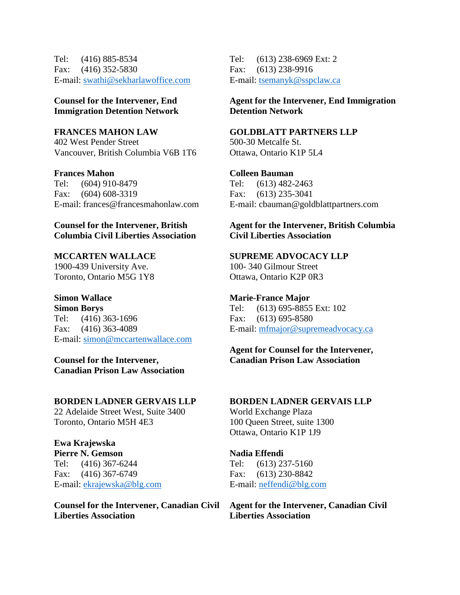Tel: (416) 885-8534 Fax: (416) 352-5830 E-mail: [swathi@sekharlawoffice.com](mailto:swathi@sekharlawoffice.com)

## **Counsel for the Intervener, End Immigration Detention Network**

**FRANCES MAHON LAW** 402 West Pender Street Vancouver, British Columbia V6B 1T6

**Frances Mahon** Tel: (604) 910-8479 Fax: (604) 608-3319 E-mail: frances@francesmahonlaw.com

## **Counsel for the Intervener, British Columbia Civil Liberties Association**

**MCCARTEN WALLACE** 1900-439 University Ave. Toronto, Ontario M5G 1Y8

#### **Simon Wallace Simon Borys**

Tel: (416) 363-1696 Fax: (416) 363-4089 E-mail: [simon@mccartenwallace.com](mailto:simon@mccartenwallace.com)

**Counsel for the Intervener, Canadian Prison Law Association**

### **BORDEN LADNER GERVAIS LLP**

22 Adelaide Street West, Suite 3400 Toronto, Ontario M5H 4E3

## **Ewa Krajewska**

**Pierre N. Gemson** Tel: (416) 367-6244 Fax: (416) 367-6749 E-mail: [ekrajewska@blg.com](mailto:ekrajewska@blg.com)

**Counsel for the Intervener, Canadian Civil Liberties Association**

Tel: (613) 238-6969 Ext: 2 Fax: (613) 238-9916 E-mail: [tsemanyk@sspclaw.ca](mailto:tsemanyk@sspclaw.ca)

## **Agent for the Intervener, End Immigration Detention Network**

### **GOLDBLATT PARTNERS LLP**

500-30 Metcalfe St. Ottawa, Ontario K1P 5L4

## **Colleen Bauman**

Tel: (613) 482-2463 Fax: (613) 235-3041 E-mail: cbauman@goldblattpartners.com

## **Agent for the Intervener, British Columbia Civil Liberties Association**

### **SUPREME ADVOCACY LLP**

100- 340 Gilmour Street Ottawa, Ontario K2P 0R3

#### **Marie-France Major**

Tel: (613) 695-8855 Ext: 102 Fax: (613) 695-8580 E-mail: [mfmajor@supremeadvocacy.ca](mailto:mfmajor@supremeadvocacy.ca)

## **Agent for Counsel for the Intervener, Canadian Prison Law Association**

#### **BORDEN LADNER GERVAIS LLP**

World Exchange Plaza 100 Queen Street, suite 1300 Ottawa, Ontario K1P 1J9

## **Nadia Effendi**

Tel: (613) 237-5160 Fax: (613) 230-8842 E-mail: [neffendi@blg.com](mailto:neffendi@blg.com)

**Agent for the Intervener, Canadian Civil Liberties Association**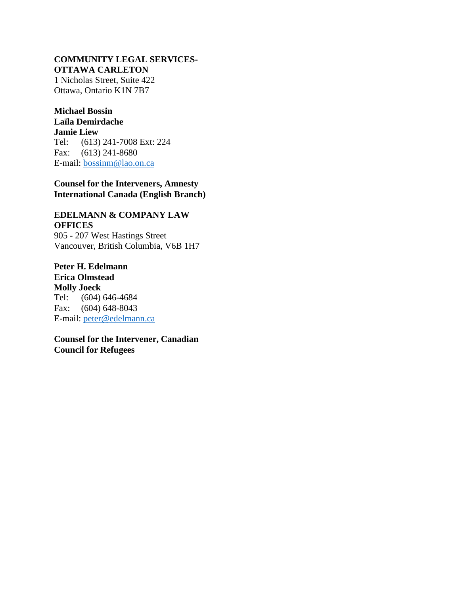#### **COMMUNITY LEGAL SERVICES-OTTAWA CARLETON**

1 Nicholas Street, Suite 422 Ottawa, Ontario K1N 7B7

#### **Michael Bossin Laïla Demirdache**

**Jamie Liew**

Tel: (613) 241-7008 Ext: 224 Fax: (613) 241-8680 E-mail: [bossinm@lao.on.ca](mailto:bossinm@lao.on.ca)

## **Counsel for the Interveners, Amnesty International Canada (English Branch)**

## **EDELMANN & COMPANY LAW OFFICES**

905 - 207 West Hastings Street Vancouver, British Columbia, V6B 1H7

**Peter H. Edelmann Erica Olmstead Molly Joeck** Tel: (604) 646-4684 Fax: (604) 648-8043 E-mail: [peter@edelmann.ca](mailto:peter@edelmann.ca)

**Counsel for the Intervener, Canadian Council for Refugees**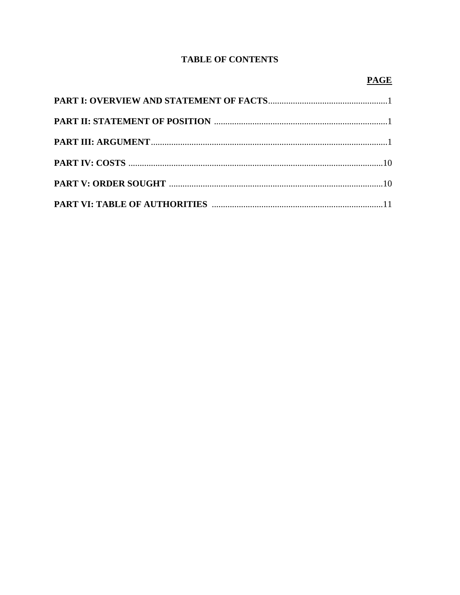# **TABLE OF CONTENTS**

# **PAGE**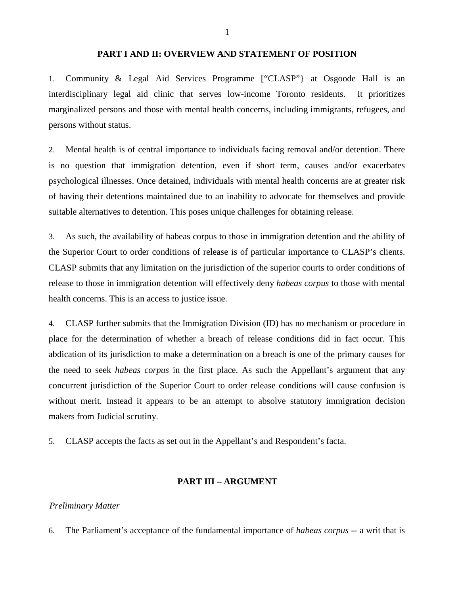#### **PART I AND II: OVERVIEW AND STATEMENT OF POSITION**

1. Community & Legal Aid Services Programme ["CLASP"} at Osgoode Hall is an interdisciplinary legal aid clinic that serves low-income Toronto residents. It prioritizes marginalized persons and those with mental health concerns, including immigrants, refugees, and persons without status.

2. Mental health is of central importance to individuals facing removal and/or detention. There is no question that immigration detention, even if short term, causes and/or exacerbates psychological illnesses. Once detained, individuals with mental health concerns are at greater risk of having their detentions maintained due to an inability to advocate for themselves and provide suitable alternatives to detention. This poses unique challenges for obtaining release.

3. As such, the availability of habeas corpus to those in immigration detention and the ability of the Superior Court to order conditions of release is of particular importance to CLASP's clients. CLASP submits that any limitation on the jurisdiction of the superior courts to order conditions of release to those in immigration detention will effectively deny *habeas corpus* to those with mental health concerns. This is an access to justice issue.

4. CLASP further submits that the Immigration Division (ID) has no mechanism or procedure in place for the determination of whether a breach of release conditions did in fact occur. This abdication of its jurisdiction to make a determination on a breach is one of the primary causes for the need to seek *habeas corpus* in the first place. As such the Appellant's argument that any concurrent jurisdiction of the Superior Court to order release conditions will cause confusion is without merit. Instead it appears to be an attempt to absolve statutory immigration decision makers from Judicial scrutiny.

5. CLASP accepts the facts as set out in the Appellant's and Respondent's facta.

#### **PART III – ARGUMENT**

#### *Preliminary Matter*

6. The Parliament's acceptance of the fundamental importance of *habeas corpus* -- a writ that is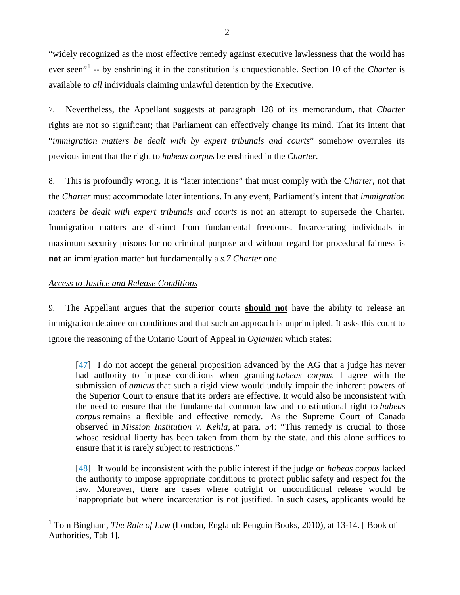"widely recognized as the most effective remedy against executive lawlessness that the world has ever seen"[1](#page-7-0) -- by enshrining it in the constitution is unquestionable. Section 10 of the *Charter* is available *to all* individuals claiming unlawful detention by the Executive.

7. Nevertheless, the Appellant suggests at paragraph 128 of its memorandum, that *Charter* rights are not so significant; that Parliament can effectively change its mind. That its intent that "*immigration matters be dealt with by expert tribunals and courts*" somehow overrules its previous intent that the right to *habeas corpus* be enshrined in the *Charter.* 

8. This is profoundly wrong. It is "later intentions" that must comply with the *Charter*, not that the *Charter* must accommodate later intentions. In any event, Parliament's intent that *immigration matters be dealt with expert tribunals and courts* is not an attempt to supersede the Charter. Immigration matters are distinct from fundamental freedoms. Incarcerating individuals in maximum security prisons for no criminal purpose and without regard for procedural fairness is **not** an immigration matter but fundamentally a *s.7 Charter* one.

## *Access to Justice and Release Conditions*

9. The Appellant argues that the superior courts **should not** have the ability to release an immigration detainee on conditions and that such an approach is unprincipled. It asks this court to ignore the reasoning of the Ontario Court of Appeal in *Ogiamien* which states:

[47] I do not accept the general proposition advanced by the AG that a judge has never had authority to impose conditions when granting *habeas corpus*. I agree with the submission of *amicus* that such a rigid view would unduly impair the inherent powers of the Superior Court to ensure that its orders are effective. It would also be inconsistent with the need to ensure that the fundamental common law and constitutional right to *habeas corpus* remains a flexible and effective remedy. As the Supreme Court of Canada observed in *Mission Institution v. Kehla,* at para. 54: "This remedy is crucial to those whose residual liberty has been taken from them by the state, and this alone suffices to ensure that it is rarely subject to restrictions."

[48] It would be inconsistent with the public interest if the judge on *habeas corpus* lacked the authority to impose appropriate conditions to protect public safety and respect for the law. Moreover, there are cases where outright or unconditional release would be inappropriate but where incarceration is not justified. In such cases, applicants would be

<span id="page-7-0"></span><sup>1</sup> Tom Bingham, *The Rule of Law* (London, England: Penguin Books, 2010), at 13-14. [ Book of Authorities, Tab 1].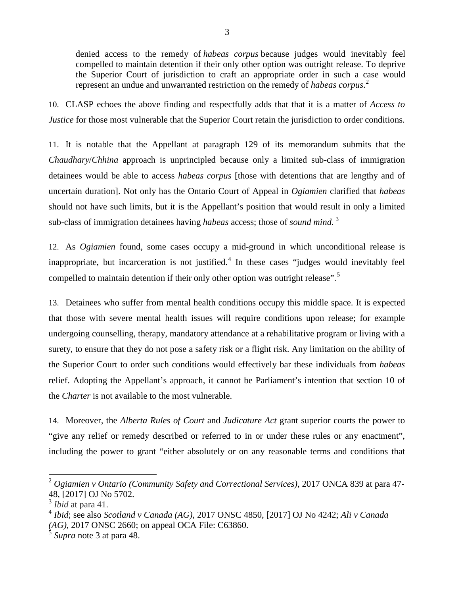denied access to the remedy of *habeas corpus* because judges would inevitably feel compelled to maintain detention if their only other option was outright release. To deprive the Superior Court of jurisdiction to craft an appropriate order in such a case would represent an undue and unwarranted restriction on the remedy of *habeas corpus*. [2](#page-8-0)

10. CLASP echoes the above finding and respectfully adds that that it is a matter of *Access to Justice* for those most vulnerable that the Superior Court retain the jurisdiction to order conditions.

11. It is notable that the Appellant at paragraph 129 of its memorandum submits that the *Chaudhary*/*Chhina* approach is unprincipled because only a limited sub-class of immigration detainees would be able to access *habeas corpus* [those with detentions that are lengthy and of uncertain duration]. Not only has the Ontario Court of Appeal in *Ogiamien* clarified that *habeas* should not have such limits, but it is the Appellant's position that would result in only a limited sub-class of immigration detainees having *habeas* access; those of *sound mind.* [3](#page-8-1)

12. As *Ogiamien* found, some cases occupy a mid-ground in which unconditional release is inappropriate, but incarceration is not justified.<sup>[4](#page-8-2)</sup> In these cases "judges would inevitably feel compelled to maintain detention if their only other option was outright release".<sup>[5](#page-8-3)</sup>

13. Detainees who suffer from mental health conditions occupy this middle space. It is expected that those with severe mental health issues will require conditions upon release; for example undergoing counselling, therapy, mandatory attendance at a rehabilitative program or living with a surety, to ensure that they do not pose a safety risk or a flight risk. Any limitation on the ability of the Superior Court to order such conditions would effectively bar these individuals from *habeas* relief. Adopting the Appellant's approach, it cannot be Parliament's intention that section 10 of the *Charter* is not available to the most vulnerable.

14. Moreover, the *Alberta Rules of Court* and *Judicature Act* grant superior courts the power to "give any relief or remedy described or referred to in or under these rules or any enactment", including the power to grant "either absolutely or on any reasonable terms and conditions that

<span id="page-8-0"></span><sup>2</sup> *Ogiamien v Ontario (Community Safety and Correctional Services)*, 2017 ONCA 839 at para 47- 48, [2017] OJ No 5702.

<span id="page-8-1"></span><sup>3</sup> *Ibid* at para 41.

<span id="page-8-2"></span><sup>4</sup> *Ibid*; see also *Scotland v Canada (AG)*, 2017 ONSC 4850, [2017] OJ No 4242; *Ali v Canada (AG)*, 2017 ONSC 2660; on appeal OCA File: C63860.

<span id="page-8-3"></span><sup>5</sup> *Supra* note 3 at para 48.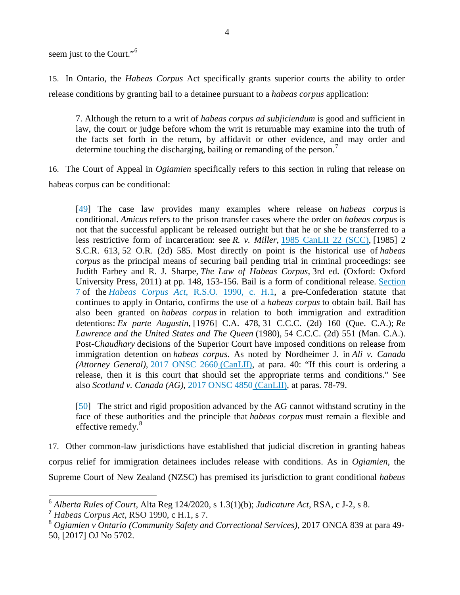seem just to the Court."<sup>[6](#page-9-0)</sup>

15. In Ontario, the *Habeas Corpus* Act specifically grants superior courts the ability to order release conditions by granting bail to a detainee pursuant to a *habeas corpus* application:

7. Although the return to a writ of *habeas corpus ad subjiciendum* is good and sufficient in law, the court or judge before whom the writ is returnable may examine into the truth of the facts set forth in the return, by affidavit or other evidence, and may order and determine touching the discharging, bailing or remanding of the person.<sup>[7](#page-9-1)</sup>

16. The Court of Appeal in *Ogiamien* specifically refers to this section in ruling that release on habeas corpus can be conditional:

[49] The case law provides many examples where release on *habeas corpus* is conditional. *Amicus* refers to the prison transfer cases where the order on *habeas corpus* is not that the successful applicant be released outright but that he or she be transferred to a less restrictive form of incarceration: see *R. v. Miller*, [1985 CanLII 22 \(SCC\),](https://www.canlii.org/en/ca/scc/doc/1985/1985canlii22/1985canlii22.html) [1985] 2 S.C.R. 613, 52 O.R. (2d) 585. Most directly on point is the historical use of *habeas corpus* as the principal means of securing bail pending trial in criminal proceedings: see Judith Farbey and R. J. Sharpe, *The Law of Habeas Corpus*, 3rd ed. (Oxford: Oxford University Press, 2011) at pp. 148, 153-156. Bail is a form of conditional release. [Section](https://www.canlii.org/en/on/laws/stat/rso-1990-c-h1/latest/rso-1990-c-h1.html#sec7_smooth)  [7](https://www.canlii.org/en/on/laws/stat/rso-1990-c-h1/latest/rso-1990-c-h1.html#sec7_smooth) of the *Habeas Corpus Act*[, R.S.O. 1990, c. H.1,](https://www.canlii.org/en/on/laws/stat/rso-1990-c-h1/latest/rso-1990-c-h1.html) a pre-Confederation statute that continues to apply in Ontario, confirms the use of a *habeas corpus* to obtain bail. Bail has also been granted on *habeas corpus* in relation to both immigration and extradition detentions: *Ex parte Augustin*, [1976] C.A. 478, 31 C.C.C. (2d) 160 (Que. C.A.); *Re Lawrence and the United States and The Queen* (1980), 54 C.C.C. (2d) 551 (Man. C.A.). Post-*Chaudhary* decisions of the Superior Court have imposed conditions on release from immigration detention on *habeas corpus*. As noted by Nordheimer J. in *Ali v. Canada (Attorney General)*, [2017 ONSC 2660](https://www.canlii.org/en/on/onsc/doc/2017/2017onsc2660/2017onsc2660.html) (CanLII), at para. 40: "If this court is ordering a release, then it is this court that should set the appropriate terms and conditions." See also *Scotland v. Canada (AG)*, [2017 ONSC 4850](https://www.canlii.org/en/on/onsc/doc/2017/2017onsc4850/2017onsc4850.html) (CanLII), at paras. 78-79.

[50] The strict and rigid proposition advanced by the AG cannot withstand scrutiny in the face of these authorities and the principle that *habeas corpus* must remain a flexible and effective remedy.<sup>[8](#page-9-2)</sup>

17. Other common-law jurisdictions have established that judicial discretion in granting habeas corpus relief for immigration detainees includes release with conditions. As in *Ogiamien,* the Supreme Court of New Zealand (NZSC) has premised its jurisdiction to grant conditional *habeus* 

<span id="page-9-0"></span><sup>6</sup> *Alberta Rules of Court*, Alta Reg 124/2020, s 1.3(1)(b); *Judicature Act*, RSA, c J-2, s 8. **<sup>7</sup>** *Habeas Corpus Act,* RSO 1990, c H.1, s 7.

<span id="page-9-1"></span>

<span id="page-9-2"></span><sup>8</sup> *Ogiamien v Ontario (Community Safety and Correctional Services)*, 2017 ONCA 839 at para 49- 50, [2017] OJ No 5702.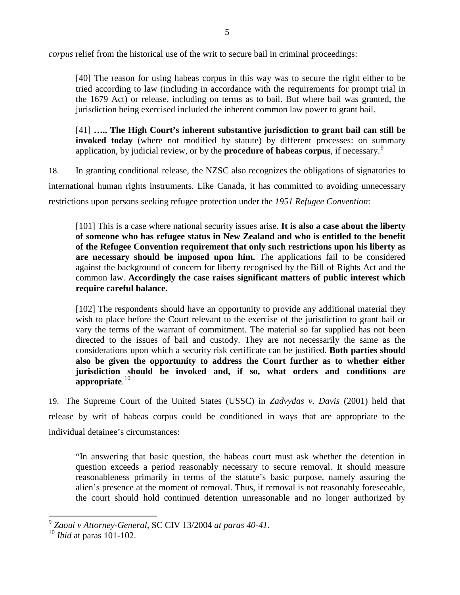*corpus* relief from the historical use of the writ to secure bail in criminal proceedings:

[40] The reason for using habeas corpus in this way was to secure the right either to be tried according to law (including in accordance with the requirements for prompt trial in the 1679 Act) or release, including on terms as to bail. But where bail was granted, the jurisdiction being exercised included the inherent common law power to grant bail.

[41] **….. The High Court's inherent substantive jurisdiction to grant bail can still be invoked today** (where not modified by statute) by different processes: on summary application, by judicial review, or by the **procedure of habeas corpus**, if necessary.[9](#page-10-0)

18. In granting conditional release, the NZSC also recognizes the obligations of signatories to international human rights instruments. Like Canada, it has committed to avoiding unnecessary restrictions upon persons seeking refugee protection under the *1951 Refugee Convention*:

[101] This is a case where national security issues arise. **It is also a case about the liberty of someone who has refugee status in New Zealand and who is entitled to the benefit of the Refugee Convention requirement that only such restrictions upon his liberty as are necessary should be imposed upon him.** The applications fail to be considered against the background of concern for liberty recognised by the Bill of Rights Act and the common law. **Accordingly the case raises significant matters of public interest which require careful balance.**

[102] The respondents should have an opportunity to provide any additional material they wish to place before the Court relevant to the exercise of the jurisdiction to grant bail or vary the terms of the warrant of commitment. The material so far supplied has not been directed to the issues of bail and custody. They are not necessarily the same as the considerations upon which a security risk certificate can be justified. **Both parties should also be given the opportunity to address the Court further as to whether either jurisdiction should be invoked and, if so, what orders and conditions are appropriate**. [10](#page-10-1)

19. The Supreme Court of the United States (USSC) in *Zadvydas v. Davis* (2001) held that release by writ of habeas corpus could be conditioned in ways that are appropriate to the individual detainee's circumstances:

"In answering that basic question, the habeas court must ask whether the detention in question exceeds a period reasonably necessary to secure removal. It should measure reasonableness primarily in terms of the statute's basic purpose, namely assuring the alien's presence at the moment of removal. Thus, if removal is not reasonably foreseeable, the court should hold continued detention unreasonable and no longer authorized by

<span id="page-10-0"></span><sup>9</sup> *[Zaoui v Attorney-General,](http://www.refworld.org/cases,NZL_SC,42234a944.html)* SC CIV 13/2004 *at paras 40-41.* 

<span id="page-10-1"></span><sup>10</sup> *Ibid* at paras 101-102.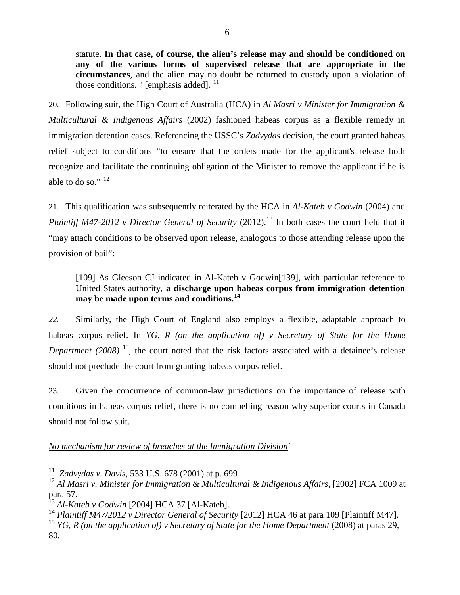statute. **In that case, of course, the alien's release may and should be conditioned on any of the various forms of supervised release that are appropriate in the circumstances**, and the alien may no doubt be returned to custody upon a violation of those conditions. " [emphasis added].  $<sup>11</sup>$  $<sup>11</sup>$  $<sup>11</sup>$ </sup>

20. Following suit, the High Court of Australia (HCA) in *Al Masri v Minister for Immigration & Multicultural & Indigenous Affairs* (2002) fashioned habeas corpus as a flexible remedy in immigration detention cases. Referencing the USSC's *Zadvydas* decision*,* the court granted habeas relief subject to conditions "to ensure that the orders made for the applicant's release both recognize and facilitate the continuing obligation of the Minister to remove the applicant if he is able to do so."  $12$ 

21. This qualification was subsequently reiterated by the HCA in *Al-Kateb v Godwin* (2004) and *Plaintiff M47-2012 v Director General of Security* (2012).<sup>[13](#page-11-2)</sup> In both cases the court held that it "may attach conditions to be observed upon release, analogous to those attending release upon the provision of bail":

[109] As Gleeson CJ indicated in Al-Kateb v Godwin<sup>[139]</sup>, with particular reference to United States authority, **a discharge upon habeas corpus from immigration detention may be made upon terms and conditions.[14](#page-11-3)**

*22.* Similarly, the High Court of England also employs a flexible, adaptable approach to habeas corpus relief. In *YG, R (on the application of) v Secretary of State for the Home Department (2008)* <sup>[15](#page-11-4)</sup>, the court noted that the risk factors associated with a detainee's release should not preclude the court from granting habeas corpus relief.

23. Given the concurrence of common-law jurisdictions on the importance of release with conditions in habeas corpus relief, there is no compelling reason why superior courts in Canada should not follow suit.

*No mechanism for review of breaches at the Immigration Division*`

<span id="page-11-0"></span><sup>11</sup>*Zadvydas v. Davis,* 533 U.S. 678 (2001) at p. 699

<span id="page-11-1"></span><sup>&</sup>lt;sup>12</sup> Al Masri v. Minister for Immigration & Multicultural & Indigenous Affairs, [2002] FCA 1009 at para 57.

<span id="page-11-2"></span><sup>13</sup> *Al-Kateb v Godwin* [2004] HCA 37 [Al-Kateb].

<span id="page-11-3"></span><sup>14</sup> *Plaintiff M47/2012 v Director General of Security* [2012] HCA 46 at para 109 [Plaintiff M47].

<span id="page-11-4"></span><sup>&</sup>lt;sup>15</sup> *YG, R (on the application of) v Secretary of State for the Home Department* (2008) at paras 29, 80.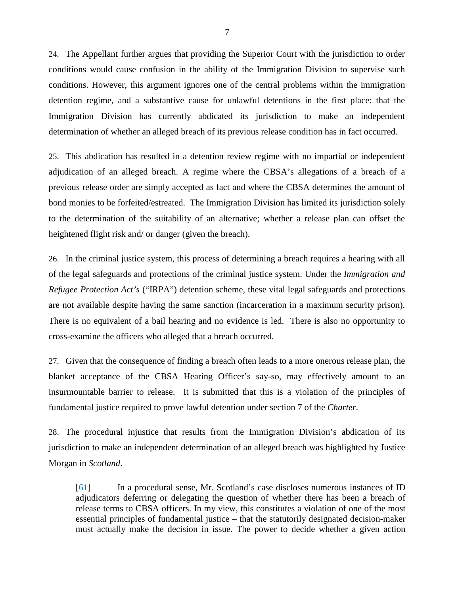24. The Appellant further argues that providing the Superior Court with the jurisdiction to order conditions would cause confusion in the ability of the Immigration Division to supervise such conditions. However, this argument ignores one of the central problems within the immigration detention regime, and a substantive cause for unlawful detentions in the first place: that the Immigration Division has currently abdicated its jurisdiction to make an independent determination of whether an alleged breach of its previous release condition has in fact occurred.

25. This abdication has resulted in a detention review regime with no impartial or independent adjudication of an alleged breach. A regime where the CBSA's allegations of a breach of a previous release order are simply accepted as fact and where the CBSA determines the amount of bond monies to be forfeited/estreated. The Immigration Division has limited its jurisdiction solely to the determination of the suitability of an alternative; whether a release plan can offset the heightened flight risk and/ or danger (given the breach).

26. In the criminal justice system, this process of determining a breach requires a hearing with all of the legal safeguards and protections of the criminal justice system. Under the *Immigration and Refugee Protection Act's* ("IRPA") detention scheme, these vital legal safeguards and protections are not available despite having the same sanction (incarceration in a maximum security prison). There is no equivalent of a bail hearing and no evidence is led. There is also no opportunity to cross-examine the officers who alleged that a breach occurred.

27. Given that the consequence of finding a breach often leads to a more onerous release plan, the blanket acceptance of the CBSA Hearing Officer's say-so, may effectively amount to an insurmountable barrier to release. It is submitted that this is a violation of the principles of fundamental justice required to prove lawful detention under section 7 of the *Charter*.

28. The procedural injustice that results from the Immigration Division's abdication of its jurisdiction to make an independent determination of an alleged breach was highlighted by Justice Morgan in *Scotland*.

[61] In a procedural sense, Mr. Scotland's case discloses numerous instances of ID adjudicators deferring or delegating the question of whether there has been a breach of release terms to CBSA officers. In my view, this constitutes a violation of one of the most essential principles of fundamental justice – that the statutorily designated decision-maker must actually make the decision in issue. The power to decide whether a given action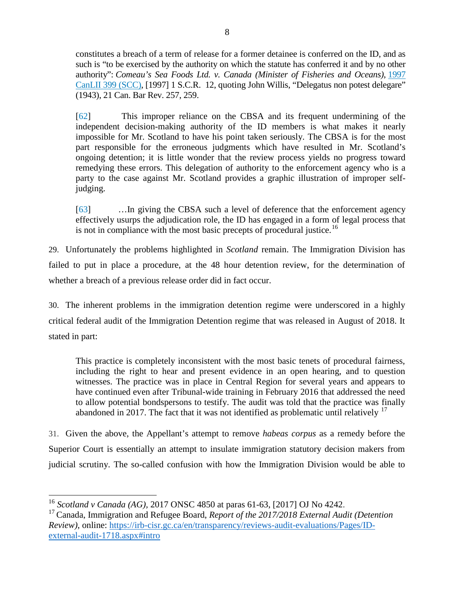constitutes a breach of a term of release for a former detainee is conferred on the ID, and as such is "to be exercised by the authority on which the statute has conferred it and by no other authority": *Comeau's Sea Foods Ltd. v. Canada (Minister of Fisheries and Oceans)*, [1997](https://www.canlii.org/en/ca/scc/doc/1997/1997canlii399/1997canlii399.html)  [CanLII 399 \(SCC\),](https://www.canlii.org/en/ca/scc/doc/1997/1997canlii399/1997canlii399.html) [1997] 1 S.C.R. 12, quoting John Willis, "Delegatus non potest delegare" (1943), 21 Can. Bar Rev. 257, 259.

[62] This improper reliance on the CBSA and its frequent undermining of the independent decision-making authority of the ID members is what makes it nearly impossible for Mr. Scotland to have his point taken seriously. The CBSA is for the most part responsible for the erroneous judgments which have resulted in Mr. Scotland's ongoing detention; it is little wonder that the review process yields no progress toward remedying these errors. This delegation of authority to the enforcement agency who is a party to the case against Mr. Scotland provides a graphic illustration of improper selfjudging.

[63] …In giving the CBSA such a level of deference that the enforcement agency effectively usurps the adjudication role, the ID has engaged in a form of legal process that is not in compliance with the most basic precepts of procedural justice.<sup>[16](#page-13-0)</sup>

29. Unfortunately the problems highlighted in *Scotland* remain. The Immigration Division has failed to put in place a procedure, at the 48 hour detention review, for the determination of whether a breach of a previous release order did in fact occur.

30. The inherent problems in the immigration detention regime were underscored in a highly critical federal audit of the Immigration Detention regime that was released in August of 2018. It stated in part:

This practice is completely inconsistent with the most basic tenets of procedural fairness, including the right to hear and present evidence in an open hearing, and to question witnesses. The practice was in place in Central Region for several years and appears to have continued even after Tribunal-wide training in February 2016 that addressed the need to allow potential bondspersons to testify. The audit was told that the practice was finally abandoned in 20[17](#page-13-1). The fact that it was not identified as problematic until relatively  $17$ 

31. Given the above, the Appellant's attempt to remove *habeas corpus* as a remedy before the Superior Court is essentially an attempt to insulate immigration statutory decision makers from judicial scrutiny. The so-called confusion with how the Immigration Division would be able to

<span id="page-13-0"></span><sup>&</sup>lt;sup>16</sup> *Scotland v Canada (AG), 2017 ONSC 4850 at paras 61-63, [2017] OJ No 4242.*<br><sup>17</sup> Canada, Immigration and Refugee Board, *Report of the 2017/2018 External Audit (Detention* 

<span id="page-13-1"></span>*Review)*, online: [https://irb-cisr.gc.ca/en/transparency/reviews-audit-evaluations/Pages/ID](https://irb-cisr.gc.ca/en/transparency/reviews-audit-evaluations/Pages/ID-external-audit-1718.aspx#intro)[external-audit-1718.aspx#intro](https://irb-cisr.gc.ca/en/transparency/reviews-audit-evaluations/Pages/ID-external-audit-1718.aspx#intro)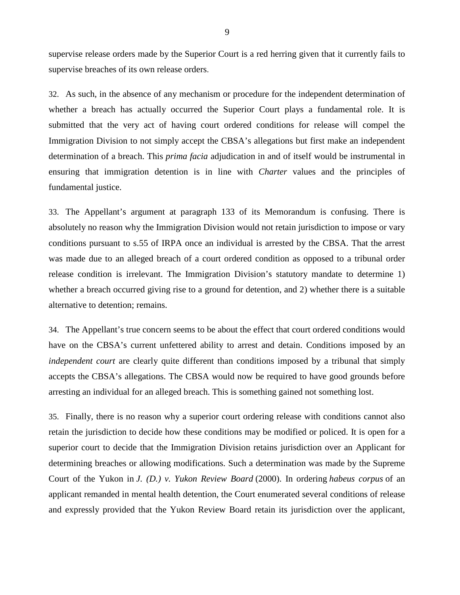supervise release orders made by the Superior Court is a red herring given that it currently fails to supervise breaches of its own release orders.

32. As such, in the absence of any mechanism or procedure for the independent determination of whether a breach has actually occurred the Superior Court plays a fundamental role. It is submitted that the very act of having court ordered conditions for release will compel the Immigration Division to not simply accept the CBSA's allegations but first make an independent determination of a breach. This *prima facia* adjudication in and of itself would be instrumental in ensuring that immigration detention is in line with *Charter* values and the principles of fundamental justice.

33. The Appellant's argument at paragraph 133 of its Memorandum is confusing. There is absolutely no reason why the Immigration Division would not retain jurisdiction to impose or vary conditions pursuant to s.55 of IRPA once an individual is arrested by the CBSA. That the arrest was made due to an alleged breach of a court ordered condition as opposed to a tribunal order release condition is irrelevant. The Immigration Division's statutory mandate to determine 1) whether a breach occurred giving rise to a ground for detention, and 2) whether there is a suitable alternative to detention; remains.

34. The Appellant's true concern seems to be about the effect that court ordered conditions would have on the CBSA's current unfettered ability to arrest and detain. Conditions imposed by an *independent court* are clearly quite different than conditions imposed by a tribunal that simply accepts the CBSA's allegations. The CBSA would now be required to have good grounds before arresting an individual for an alleged breach. This is something gained not something lost.

35. Finally, there is no reason why a superior court ordering release with conditions cannot also retain the jurisdiction to decide how these conditions may be modified or policed. It is open for a superior court to decide that the Immigration Division retains jurisdiction over an Applicant for determining breaches or allowing modifications. Such a determination was made by the Supreme Court of the Yukon in *J. (D.) v. Yukon Review Board* (2000). In ordering *habeus corpus* of an applicant remanded in mental health detention, the Court enumerated several conditions of release and expressly provided that the Yukon Review Board retain its jurisdiction over the applicant,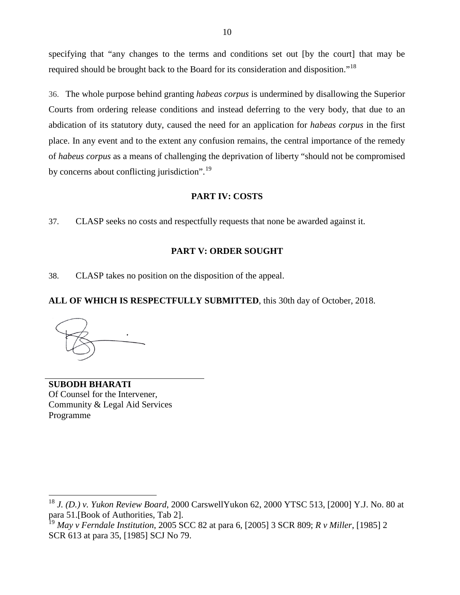specifying that "any changes to the terms and conditions set out [by the court] that may be required should be brought back to the Board for its consideration and disposition."[18](#page-15-0)

36. The whole purpose behind granting *habeas corpus* is undermined by disallowing the Superior Courts from ordering release conditions and instead deferring to the very body, that due to an abdication of its statutory duty, caused the need for an application for *habeas corpus* in the first place. In any event and to the extent any confusion remains, the central importance of the remedy of *habeus corpus* as a means of challenging the deprivation of liberty "should not be compromised by concerns about conflicting jurisdiction".<sup>[19](#page-15-1)</sup>

#### **PART IV: COSTS**

37. CLASP seeks no costs and respectfully requests that none be awarded against it.

### **PART V: ORDER SOUGHT**

38. CLASP takes no position on the disposition of the appeal.

## **ALL OF WHICH IS RESPECTFULLY SUBMITTED**, this 30th day of October, 2018.

**SUBODH BHARATI** Of Counsel for the Intervener, Community & Legal Aid Services Programme

<span id="page-15-0"></span><sup>18</sup> *J. (D.) v. Yukon Review Board*, 2000 CarswellYukon 62, 2000 YTSC 513, [2000] Y.J. No. 80 at para 51.[Book of Authorities, Tab 2].

<span id="page-15-1"></span><sup>19</sup> *May v Ferndale Institution*, 2005 SCC 82 at para 6, [2005] 3 SCR 809; *R v Miller*, [1985] 2 SCR 613 at para 35, [1985] SCJ No 79.